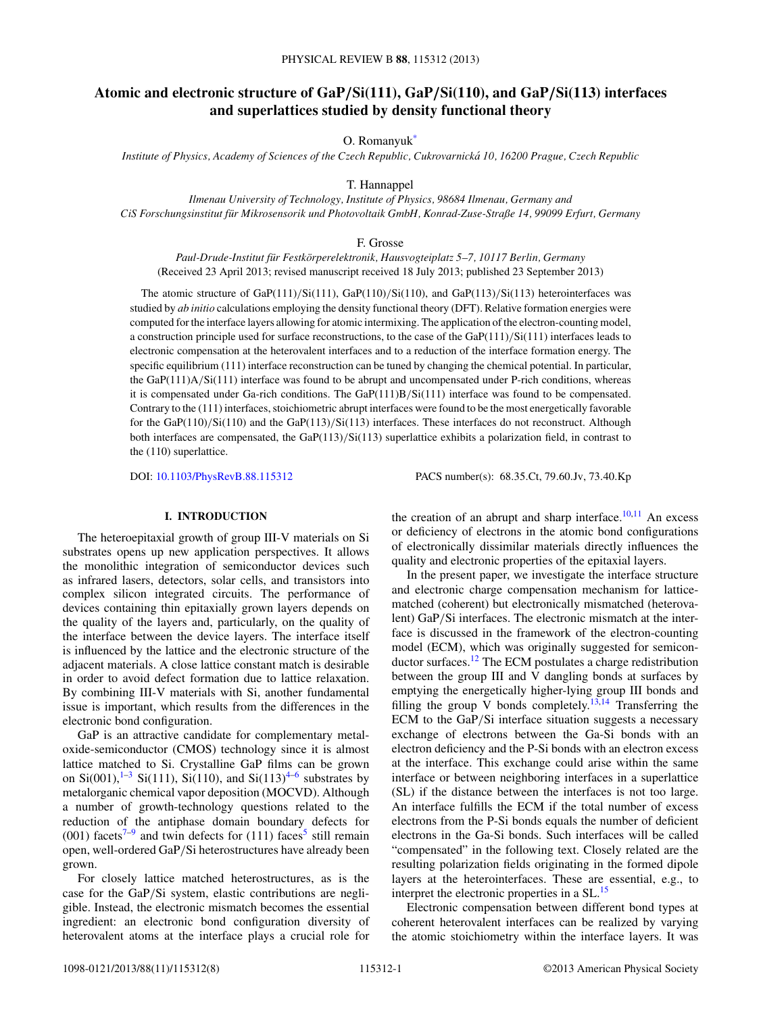# **Atomic and electronic structure of GaP***/***Si(111), GaP***/***Si(110), and GaP***/***Si(113) interfaces and superlattices studied by density functional theory**

O. Romanyu[k\\*](#page-7-0)

*Institute of Physics, Academy of Sciences of the Czech Republic, Cukrovarnicka 10, 16200 Prague, Czech Republic ´*

T. Hannappel

*Ilmenau University of Technology, Institute of Physics, 98684 Ilmenau, Germany and CiS Forschungsinstitut fur Mikrosensorik und Photovoltaik GmbH, Konrad-Zuse-Straße 14, 99099 Erfurt, Germany ¨*

F. Grosse

*Paul-Drude-Institut fur Festk ¨ orperelektronik, Hausvogteiplatz 5–7, 10117 Berlin, Germany ¨* (Received 23 April 2013; revised manuscript received 18 July 2013; published 23 September 2013)

The atomic structure of GaP(111)*/*Si(111), GaP(110)*/*Si(110), and GaP(113)*/*Si(113) heterointerfaces was studied by *ab initio* calculations employing the density functional theory (DFT). Relative formation energies were computed for the interface layers allowing for atomic intermixing. The application of the electron-counting model, a construction principle used for surface reconstructions, to the case of the GaP(111)*/*Si(111) interfaces leads to electronic compensation at the heterovalent interfaces and to a reduction of the interface formation energy. The specific equilibrium (111) interface reconstruction can be tuned by changing the chemical potential. In particular, the GaP(111)A*/*Si(111) interface was found to be abrupt and uncompensated under P-rich conditions, whereas it is compensated under Ga-rich conditions. The GaP(111)B*/*Si(111) interface was found to be compensated. Contrary to the (111) interfaces, stoichiometric abrupt interfaces were found to be the most energetically favorable for the GaP(110)*/*Si(110) and the GaP(113)*/*Si(113) interfaces. These interfaces do not reconstruct. Although both interfaces are compensated, the GaP(113)*/*Si(113) superlattice exhibits a polarization field, in contrast to the (110) superlattice.

DOI: [10.1103/PhysRevB.88.115312](http://dx.doi.org/10.1103/PhysRevB.88.115312) PACS number(s): 68*.*35*.*Ct, 79*.*60*.*Jv, 73*.*40*.*Kp

# **I. INTRODUCTION**

The heteroepitaxial growth of group III-V materials on Si substrates opens up new application perspectives. It allows the monolithic integration of semiconductor devices such as infrared lasers, detectors, solar cells, and transistors into complex silicon integrated circuits. The performance of devices containing thin epitaxially grown layers depends on the quality of the layers and, particularly, on the quality of the interface between the device layers. The interface itself is influenced by the lattice and the electronic structure of the adjacent materials. A close lattice constant match is desirable in order to avoid defect formation due to lattice relaxation. By combining III-V materials with Si, another fundamental issue is important, which results from the differences in the electronic bond configuration.

GaP is an attractive candidate for complementary metaloxide-semiconductor (CMOS) technology since it is almost lattice matched to Si. Crystalline GaP films can be grown on  $Si(001)$ ,  $1-3$   $Si(111)$ ,  $Si(110)$ , and  $Si(113)$ <sup>[4–6](#page-7-0)</sup> substrates by metalorganic chemical vapor deposition (MOCVD). Although a number of growth-technology questions related to the reduction of the antiphase domain boundary defects for (001) facets<sup>[7–9](#page-7-0)</sup> and twin defects for (111) faces<sup>5</sup> still remain open, well-ordered GaP*/*Si heterostructures have already been grown.

For closely lattice matched heterostructures, as is the case for the GaP*/*Si system, elastic contributions are negligible. Instead, the electronic mismatch becomes the essential ingredient: an electronic bond configuration diversity of heterovalent atoms at the interface plays a crucial role for

the creation of an abrupt and sharp interface. $10,11$  An excess or deficiency of electrons in the atomic bond configurations of electronically dissimilar materials directly influences the quality and electronic properties of the epitaxial layers.

In the present paper, we investigate the interface structure and electronic charge compensation mechanism for latticematched (coherent) but electronically mismatched (heterovalent) GaP*/*Si interfaces. The electronic mismatch at the interface is discussed in the framework of the electron-counting model (ECM), which was originally suggested for semiconductor surfaces[.12](#page-7-0) The ECM postulates a charge redistribution between the group III and V dangling bonds at surfaces by emptying the energetically higher-lying group III bonds and filling the group V bonds completely.<sup>[13,14](#page-7-0)</sup> Transferring the ECM to the GaP*/*Si interface situation suggests a necessary exchange of electrons between the Ga-Si bonds with an electron deficiency and the P-Si bonds with an electron excess at the interface. This exchange could arise within the same interface or between neighboring interfaces in a superlattice (SL) if the distance between the interfaces is not too large. An interface fulfills the ECM if the total number of excess electrons from the P-Si bonds equals the number of deficient electrons in the Ga-Si bonds. Such interfaces will be called "compensated" in the following text. Closely related are the resulting polarization fields originating in the formed dipole layers at the heterointerfaces. These are essential, e.g., to interpret the electronic properties in a SL[.15](#page-7-0)

Electronic compensation between different bond types at coherent heterovalent interfaces can be realized by varying the atomic stoichiometry within the interface layers. It was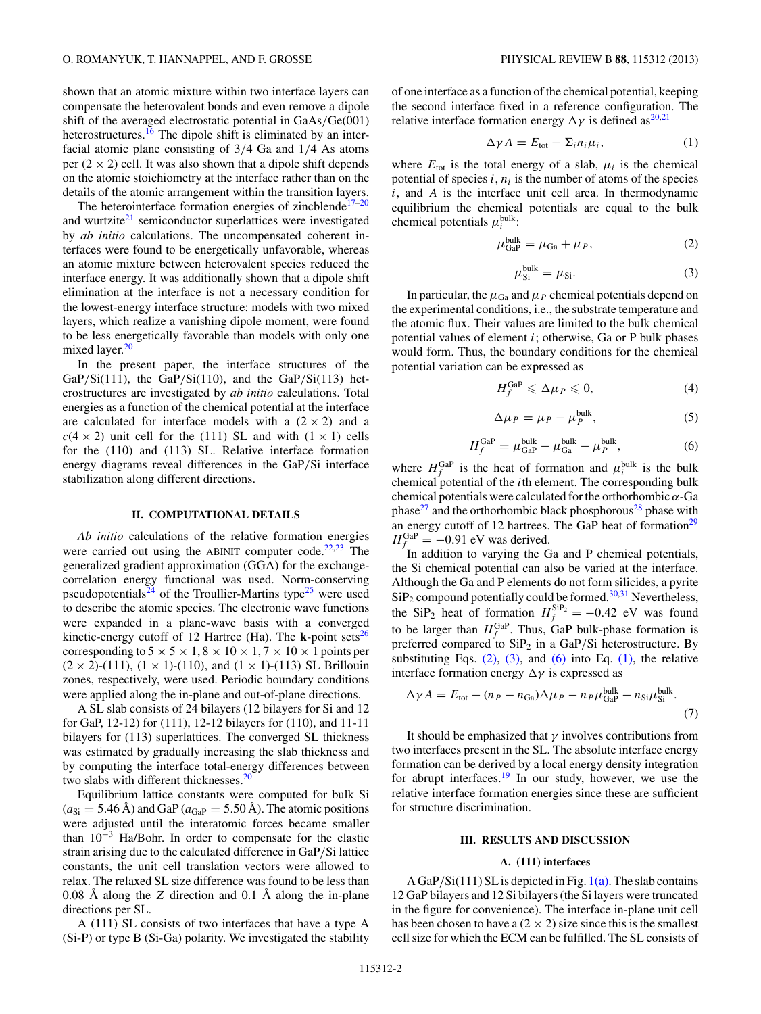shown that an atomic mixture within two interface layers can compensate the heterovalent bonds and even remove a dipole shift of the averaged electrostatic potential in GaAs*/*Ge(001) heterostructures.<sup>[16](#page-7-0)</sup> The dipole shift is eliminated by an interfacial atomic plane consisting of 3*/*4 Ga and 1*/*4 As atoms per  $(2 \times 2)$  cell. It was also shown that a dipole shift depends on the atomic stoichiometry at the interface rather than on the details of the atomic arrangement within the transition layers.

The heterointerface formation energies of zincblende<sup> $17-20$ </sup> and wurtzite $21$  semiconductor superlattices were investigated by *ab initio* calculations. The uncompensated coherent interfaces were found to be energetically unfavorable, whereas an atomic mixture between heterovalent species reduced the interface energy. It was additionally shown that a dipole shift elimination at the interface is not a necessary condition for the lowest-energy interface structure: models with two mixed layers, which realize a vanishing dipole moment, were found to be less energetically favorable than models with only one mixed layer.<sup>[20](#page-7-0)</sup>

In the present paper, the interface structures of the GaP*/*Si(111), the GaP*/*Si(110), and the GaP*/*Si(113) heterostructures are investigated by *ab initio* calculations. Total energies as a function of the chemical potential at the interface are calculated for interface models with a  $(2 \times 2)$  and a  $c(4 \times 2)$  unit cell for the (111) SL and with  $(1 \times 1)$  cells for the (110) and (113) SL. Relative interface formation energy diagrams reveal differences in the GaP*/*Si interface stabilization along different directions.

#### **II. COMPUTATIONAL DETAILS**

*Ab initio* calculations of the relative formation energies were carried out using the ABINIT computer code. $22,23$  The generalized gradient approximation (GGA) for the exchangecorrelation energy functional was used. Norm-conserving pseudopotentials<sup>[24](#page-7-0)</sup> of the Troullier-Martins type<sup>25</sup> were used to describe the atomic species. The electronic wave functions were expanded in a plane-wave basis with a converged kinetic-energy cutoff of 12 Hartree (Ha). The  $\bf{k}$ -point sets<sup>[26](#page-7-0)</sup> corresponding to  $5 \times 5 \times 1, 8 \times 10 \times 1, 7 \times 10 \times 1$  points per  $(2 \times 2)$ -(111),  $(1 \times 1)$ -(110), and  $(1 \times 1)$ -(113) SL Brillouin zones, respectively, were used. Periodic boundary conditions were applied along the in-plane and out-of-plane directions.

A SL slab consists of 24 bilayers (12 bilayers for Si and 12 for GaP, 12-12) for (111), 12-12 bilayers for (110), and 11-11 bilayers for (113) superlattices. The converged SL thickness was estimated by gradually increasing the slab thickness and by computing the interface total-energy differences between two slabs with different thicknesses.<sup>20</sup>

Equilibrium lattice constants were computed for bulk Si  $(a_{\text{Si}} = 5.46 \text{ Å})$  and GaP ( $a_{\text{GaP}} = 5.50 \text{ Å}$ ). The atomic positions were adjusted until the interatomic forces became smaller than 10−<sup>3</sup> Ha/Bohr. In order to compensate for the elastic strain arising due to the calculated difference in GaP*/*Si lattice constants, the unit cell translation vectors were allowed to relax. The relaxed SL size difference was found to be less than 0.08 Å along the  $Z$  direction and 0.1 Å along the in-plane directions per SL.

A (111) SL consists of two interfaces that have a type A (Si-P) or type B (Si-Ga) polarity. We investigated the stability

of one interface as a function of the chemical potential, keeping the second interface fixed in a reference configuration. The relative interface formation energy  $\Delta \gamma$  is defined as<sup>20,21</sup>

$$
\Delta \gamma A = E_{\text{tot}} - \Sigma_i n_i \mu_i, \qquad (1)
$$

where  $E_{\text{tot}}$  is the total energy of a slab,  $\mu_i$  is the chemical potential of species  $i, n_i$  is the number of atoms of the species *i*, and *A* is the interface unit cell area. In thermodynamic equilibrium the chemical potentials are equal to the bulk chemical potentials  $\mu_i^{\text{bulk}}$ :

$$
\mu_{\text{GaP}}^{\text{bulk}} = \mu_{\text{Ga}} + \mu_P,\tag{2}
$$

$$
\mu_{\rm Si}^{\rm bulk} = \mu_{\rm Si}.\tag{3}
$$

In particular, the  $\mu_{Ga}$  and  $\mu_P$  chemical potentials depend on the experimental conditions, i.e., the substrate temperature and the atomic flux. Their values are limited to the bulk chemical potential values of element *i*; otherwise, Ga or P bulk phases would form. Thus, the boundary conditions for the chemical potential variation can be expressed as

$$
H_f^{\text{GaP}} \leqslant \Delta \mu_P \leqslant 0,\tag{4}
$$

$$
\Delta \mu_P = \mu_P - \mu_P^{\text{bulk}},\tag{5}
$$

$$
H_f^{\text{GaP}} = \mu_{\text{GaP}}^{\text{bulk}} - \mu_{\text{Ga}}^{\text{bulk}} - \mu_P^{\text{bulk}},\tag{6}
$$

where  $H_f^{\text{GaP}}$  is the heat of formation and  $\mu_i^{\text{bulk}}$  is the bulk chemical potential of the *i*th element. The corresponding bulk chemical potentials were calculated for the orthorhombic *α*-Ga phase<sup>27</sup> and the orthorhombic black phosphorous<sup>[28](#page-7-0)</sup> phase with an energy cutoff of 12 hartrees. The GaP heat of formation $^{29}$  $H_f^{\text{GaP}} = -0.91 \text{ eV}$  was derived.

In addition to varying the Ga and P chemical potentials, the Si chemical potential can also be varied at the interface. Although the Ga and P elements do not form silicides, a pyrite  $\text{SiP}_2$  compound potentially could be formed.<sup>30,31</sup> Nevertheless, the SiP<sub>2</sub> heat of formation  $H_f^{\text{SiP}_2} = -0.42 \text{ eV}$  was found to be larger than  $H_f^{\text{GaP}}$ . Thus, GaP bulk-phase formation is preferred compared to SiP<sub>2</sub> in a GaP/Si heterostructure. By substituting Eqs.  $(2)$ ,  $(3)$ , and  $(6)$  into Eq.  $(1)$ , the relative interface formation energy  $\Delta \gamma$  is expressed as

$$
\Delta \gamma A = E_{\text{tot}} - (n_P - n_{\text{Ga}}) \Delta \mu_P - n_P \mu_{\text{GaP}}^{\text{bulk}} - n_{\text{Si}} \mu_{\text{Si}}^{\text{bulk}}.
$$
\n(7)

It should be emphasized that  $\gamma$  involves contributions from two interfaces present in the SL. The absolute interface energy formation can be derived by a local energy density integration for abrupt interfaces[.19](#page-7-0) In our study, however, we use the relative interface formation energies since these are sufficient for structure discrimination.

#### **III. RESULTS AND DISCUSSION**

#### **A. (111) interfaces**

A GaP*/*Si(111) SL is depicted in Fig. [1\(a\).](#page-2-0) The slab contains 12 GaP bilayers and 12 Si bilayers (the Si layers were truncated in the figure for convenience). The interface in-plane unit cell has been chosen to have a  $(2 \times 2)$  size since this is the smallest cell size for which the ECM can be fulfilled. The SL consists of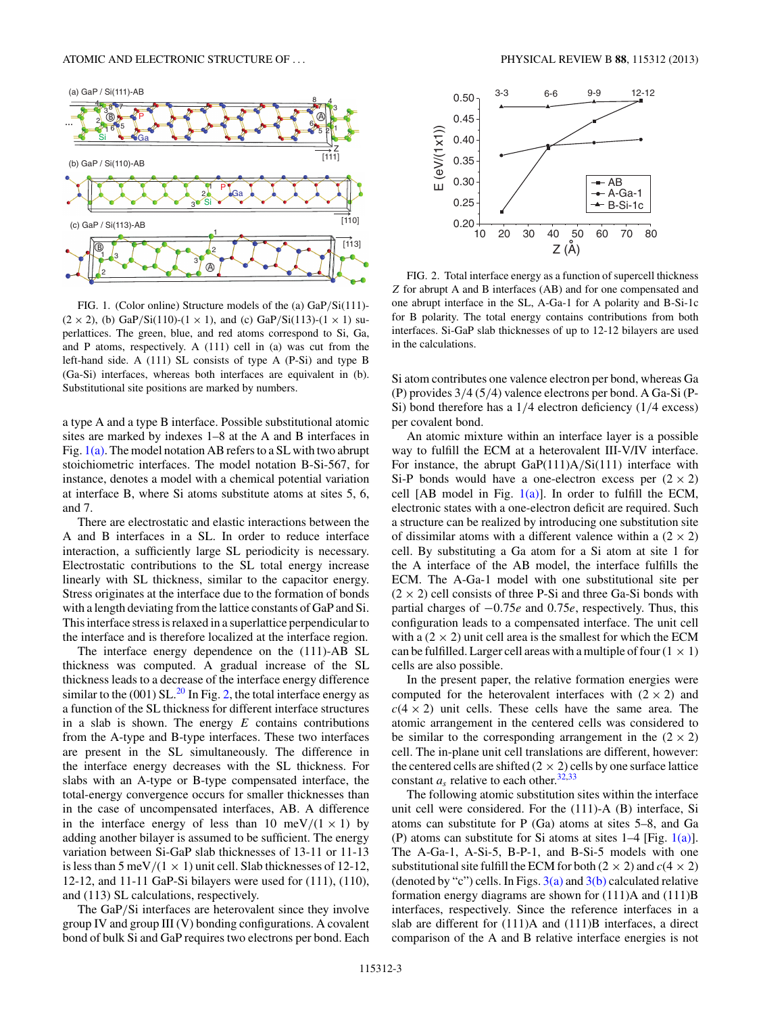<span id="page-2-0"></span>

FIG. 1. (Color online) Structure models of the (a) GaP*/*Si(111)-  $(2 \times 2)$ , (b) GaP/Si(110)-(1 × 1), and (c) GaP/Si(113)-(1 × 1) superlattices. The green, blue, and red atoms correspond to Si, Ga, and P atoms, respectively. A (111) cell in (a) was cut from the left-hand side. A (111) SL consists of type A (P-Si) and type B (Ga-Si) interfaces, whereas both interfaces are equivalent in (b). Substitutional site positions are marked by numbers.

a type A and a type B interface. Possible substitutional atomic sites are marked by indexes 1–8 at the A and B interfaces in Fig.  $1(a)$ . The model notation AB refers to a SL with two abrupt stoichiometric interfaces. The model notation B-Si-567, for instance, denotes a model with a chemical potential variation at interface B, where Si atoms substitute atoms at sites 5, 6, and 7.

There are electrostatic and elastic interactions between the A and B interfaces in a SL. In order to reduce interface interaction, a sufficiently large SL periodicity is necessary. Electrostatic contributions to the SL total energy increase linearly with SL thickness, similar to the capacitor energy. Stress originates at the interface due to the formation of bonds with a length deviating from the lattice constants of GaP and Si. This interface stress is relaxed in a superlattice perpendicular to the interface and is therefore localized at the interface region.

The interface energy dependence on the (111)-AB SL thickness was computed. A gradual increase of the SL thickness leads to a decrease of the interface energy difference similar to the  $(001)$  SL.<sup>[20](#page-7-0)</sup> In Fig. 2, the total interface energy as a function of the SL thickness for different interface structures in a slab is shown. The energy *E* contains contributions from the A-type and B-type interfaces. These two interfaces are present in the SL simultaneously. The difference in the interface energy decreases with the SL thickness. For slabs with an A-type or B-type compensated interface, the total-energy convergence occurs for smaller thicknesses than in the case of uncompensated interfaces, AB. A difference in the interface energy of less than 10 meV/ $(1 \times 1)$  by adding another bilayer is assumed to be sufficient. The energy variation between Si-GaP slab thicknesses of 13-11 or 11-13 is less than 5 meV/ $(1 \times 1)$  unit cell. Slab thicknesses of 12-12, 12-12, and 11-11 GaP-Si bilayers were used for (111), (110), and (113) SL calculations, respectively.

The GaP*/*Si interfaces are heterovalent since they involve group IV and group III (V) bonding configurations. A covalent bond of bulk Si and GaP requires two electrons per bond. Each



FIG. 2. Total interface energy as a function of supercell thickness *Z* for abrupt A and B interfaces (AB) and for one compensated and one abrupt interface in the SL, A-Ga-1 for A polarity and B-Si-1c for B polarity. The total energy contains contributions from both interfaces. Si-GaP slab thicknesses of up to 12-12 bilayers are used in the calculations.

Si atom contributes one valence electron per bond, whereas Ga (P) provides 3*/*4 (5*/*4) valence electrons per bond. A Ga-Si (P-Si) bond therefore has a 1*/*4 electron deficiency (1*/*4 excess) per covalent bond.

An atomic mixture within an interface layer is a possible way to fulfill the ECM at a heterovalent III-V/IV interface. For instance, the abrupt GaP(111)A*/*Si(111) interface with Si-P bonds would have a one-electron excess per  $(2 \times 2)$ cell [AB model in Fig.  $1(a)$ ]. In order to fulfill the ECM, electronic states with a one-electron deficit are required. Such a structure can be realized by introducing one substitution site of dissimilar atoms with a different valence within a  $(2 \times 2)$ cell. By substituting a Ga atom for a Si atom at site 1 for the A interface of the AB model, the interface fulfills the ECM. The A-Ga-1 model with one substitutional site per  $(2 \times 2)$  cell consists of three P-Si and three Ga-Si bonds with partial charges of −0*.*75*e* and 0*.*75*e*, respectively. Thus, this configuration leads to a compensated interface. The unit cell with a  $(2 \times 2)$  unit cell area is the smallest for which the ECM can be fulfilled. Larger cell areas with a multiple of four  $(1 \times 1)$ cells are also possible.

In the present paper, the relative formation energies were computed for the heterovalent interfaces with  $(2 \times 2)$  and  $c(4 \times 2)$  unit cells. These cells have the same area. The atomic arrangement in the centered cells was considered to be similar to the corresponding arrangement in the  $(2 \times 2)$ cell. The in-plane unit cell translations are different, however: the centered cells are shifted  $(2 \times 2)$  cells by one surface lattice constant  $a_s$  relative to each other.<sup>32,33</sup>

The following atomic substitution sites within the interface unit cell were considered. For the (111)-A (B) interface, Si atoms can substitute for P (Ga) atoms at sites 5–8, and Ga (P) atoms can substitute for Si atoms at sites  $1-4$  [Fig. 1(a)]. The A-Ga-1, A-Si-5, B-P-1, and B-Si-5 models with one substitutional site fulfill the ECM for both  $(2 \times 2)$  and  $c(4 \times 2)$ (denoted by "c") cells. In Figs.  $3(a)$  and  $3(b)$  calculated relative formation energy diagrams are shown for (111)A and (111)B interfaces, respectively. Since the reference interfaces in a slab are different for (111)A and (111)B interfaces, a direct comparison of the A and B relative interface energies is not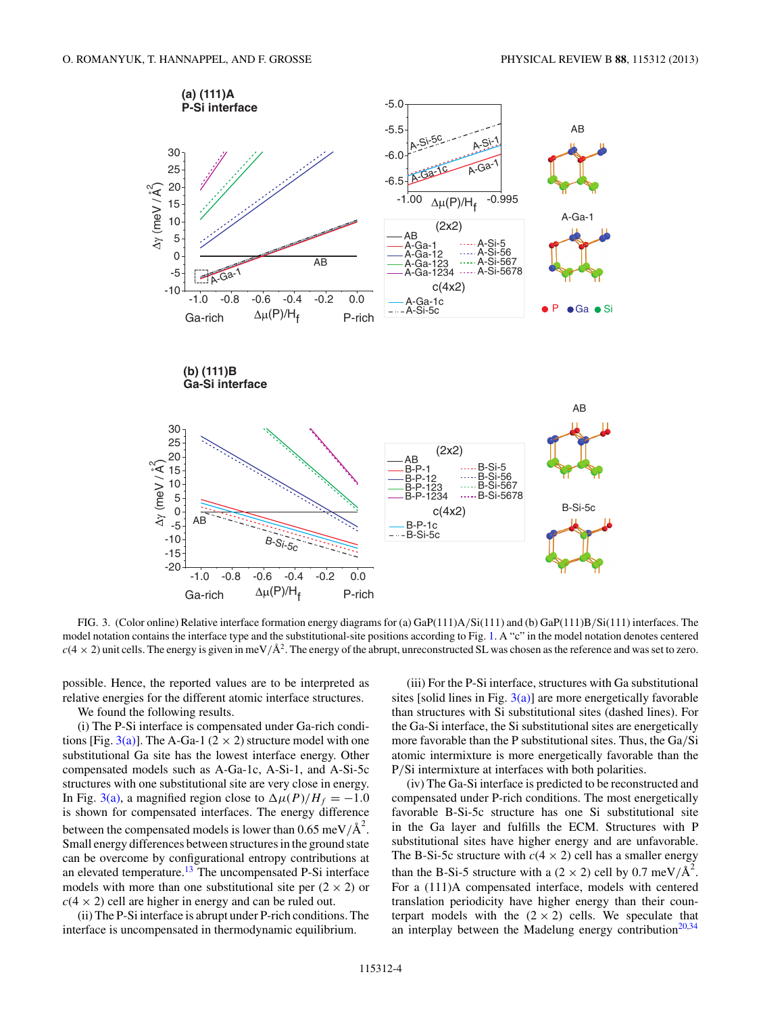<span id="page-3-0"></span>

FIG. 3. (Color online) Relative interface formation energy diagrams for (a) GaP(111)A*/*Si(111) and (b) GaP(111)B*/*Si(111) interfaces. The model notation contains the interface type and the substitutional-site positions according to Fig. [1.](#page-2-0) A "c" in the model notation denotes centered  $c(4 \times 2)$  unit cells. The energy is given in meV/ $\hat{A}^2$ . The energy of the abrupt, unreconstructed SL was chosen as the reference and was set to zero.

possible. Hence, the reported values are to be interpreted as relative energies for the different atomic interface structures.

We found the following results.

(i) The P-Si interface is compensated under Ga-rich conditions [Fig. 3(a)]. The A-Ga-1 (2  $\times$  2) structure model with one substitutional Ga site has the lowest interface energy. Other compensated models such as A-Ga-1c, A-Si-1, and A-Si-5c structures with one substitutional site are very close in energy. In Fig. 3(a), a magnified region close to  $\Delta \mu(P)/H_f = -1.0$ is shown for compensated interfaces. The energy difference between the compensated models is lower than  $0.65 \text{ meV/A}^2$ . Small energy differences between structures in the ground state can be overcome by configurational entropy contributions at an elevated temperature.<sup>[13](#page-7-0)</sup> The uncompensated P-Si interface models with more than one substitutional site per  $(2 \times 2)$  or  $c(4 \times 2)$  cell are higher in energy and can be ruled out.

(ii) The P-Si interface is abrupt under P-rich conditions. The interface is uncompensated in thermodynamic equilibrium.

(iii) For the P-Si interface, structures with Ga substitutional sites [solid lines in Fig.  $3(a)$ ] are more energetically favorable than structures with Si substitutional sites (dashed lines). For the Ga-Si interface, the Si substitutional sites are energetically more favorable than the P substitutional sites. Thus, the Ga*/*Si atomic intermixture is more energetically favorable than the P*/*Si intermixture at interfaces with both polarities.

(iv) The Ga-Si interface is predicted to be reconstructed and compensated under P-rich conditions. The most energetically favorable B-Si-5c structure has one Si substitutional site in the Ga layer and fulfills the ECM. Structures with P substitutional sites have higher energy and are unfavorable. The B-Si-5c structure with  $c(4 \times 2)$  cell has a smaller energy than the B-Si-5 structure with a  $(2 \times 2)$  cell by 0.7 meV/ $A^2$ . For a (111)A compensated interface, models with centered translation periodicity have higher energy than their counterpart models with the  $(2 \times 2)$  cells. We speculate that an interplay between the Madelung energy contribution<sup>20,34</sup>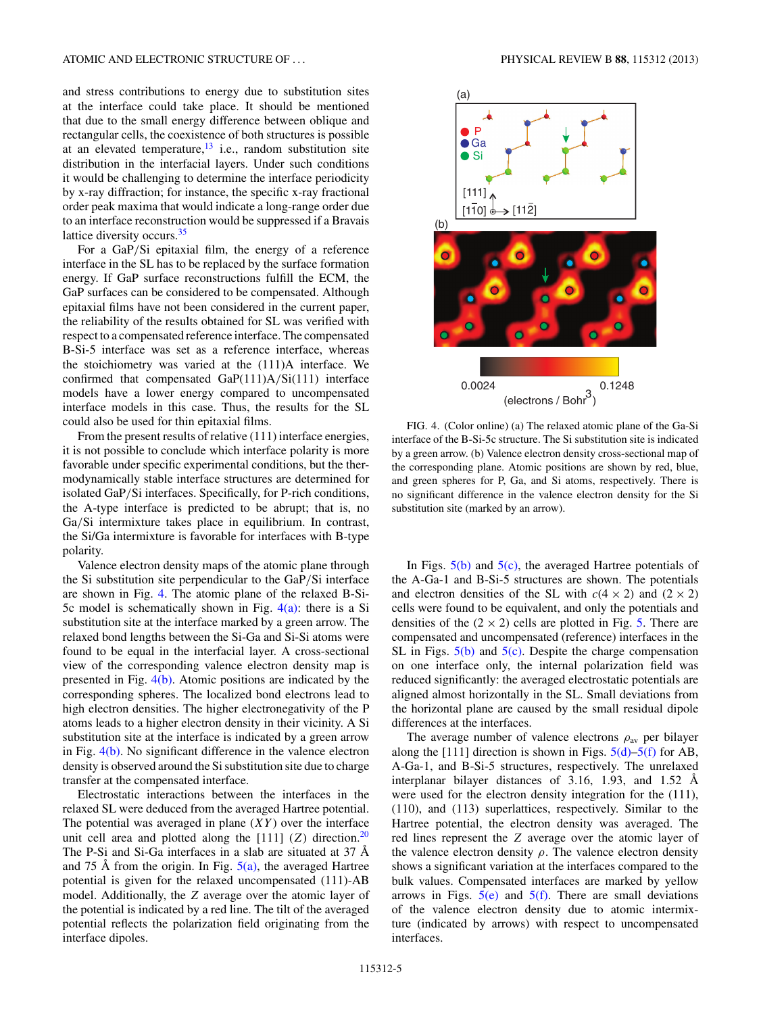and stress contributions to energy due to substitution sites at the interface could take place. It should be mentioned that due to the small energy difference between oblique and rectangular cells, the coexistence of both structures is possible at an elevated temperature, $13$  i.e., random substitution site distribution in the interfacial layers. Under such conditions it would be challenging to determine the interface periodicity by x-ray diffraction; for instance, the specific x-ray fractional order peak maxima that would indicate a long-range order due to an interface reconstruction would be suppressed if a Bravais lattice diversity occurs.<sup>35</sup>

For a GaP*/*Si epitaxial film, the energy of a reference interface in the SL has to be replaced by the surface formation energy. If GaP surface reconstructions fulfill the ECM, the GaP surfaces can be considered to be compensated. Although epitaxial films have not been considered in the current paper, the reliability of the results obtained for SL was verified with respect to a compensated reference interface. The compensated B-Si-5 interface was set as a reference interface, whereas the stoichiometry was varied at the (111)A interface. We confirmed that compensated GaP(111)A*/*Si(111) interface models have a lower energy compared to uncompensated interface models in this case. Thus, the results for the SL could also be used for thin epitaxial films.

From the present results of relative (111) interface energies, it is not possible to conclude which interface polarity is more favorable under specific experimental conditions, but the thermodynamically stable interface structures are determined for isolated GaP*/*Si interfaces. Specifically, for P-rich conditions, the A-type interface is predicted to be abrupt; that is, no Ga*/*Si intermixture takes place in equilibrium. In contrast, the Si/Ga intermixture is favorable for interfaces with B-type polarity.

Valence electron density maps of the atomic plane through the Si substitution site perpendicular to the GaP*/*Si interface are shown in Fig. 4. The atomic plane of the relaxed B-Si-5c model is schematically shown in Fig.  $4(a)$ : there is a Si substitution site at the interface marked by a green arrow. The relaxed bond lengths between the Si-Ga and Si-Si atoms were found to be equal in the interfacial layer. A cross-sectional view of the corresponding valence electron density map is presented in Fig. 4(b). Atomic positions are indicated by the corresponding spheres. The localized bond electrons lead to high electron densities. The higher electronegativity of the P atoms leads to a higher electron density in their vicinity. A Si substitution site at the interface is indicated by a green arrow in Fig. 4(b). No significant difference in the valence electron density is observed around the Si substitution site due to charge transfer at the compensated interface.

Electrostatic interactions between the interfaces in the relaxed SL were deduced from the averaged Hartree potential. The potential was averaged in plane (*XY* ) over the interface unit cell area and plotted along the  $[111]$  (*Z*) direction.<sup>20</sup> The P-Si and Si-Ga interfaces in a slab are situated at 37 Å and 75 Å from the origin. In Fig.  $5(a)$ , the averaged Hartree potential is given for the relaxed uncompensated (111)-AB model. Additionally, the *Z* average over the atomic layer of the potential is indicated by a red line. The tilt of the averaged potential reflects the polarization field originating from the interface dipoles.



FIG. 4. (Color online) (a) The relaxed atomic plane of the Ga-Si interface of the B-Si-5c structure. The Si substitution site is indicated by a green arrow. (b) Valence electron density cross-sectional map of the corresponding plane. Atomic positions are shown by red, blue, and green spheres for P, Ga, and Si atoms, respectively. There is no significant difference in the valence electron density for the Si substitution site (marked by an arrow).

In Figs.  $5(b)$  and  $5(c)$ , the averaged Hartree potentials of the A-Ga-1 and B-Si-5 structures are shown. The potentials and electron densities of the SL with  $c(4 \times 2)$  and  $(2 \times 2)$ cells were found to be equivalent, and only the potentials and densities of the  $(2 \times 2)$  cells are plotted in Fig. [5.](#page-5-0) There are compensated and uncompensated (reference) interfaces in the SL in Figs.  $5(b)$  and  $5(c)$ . Despite the charge compensation on one interface only, the internal polarization field was reduced significantly: the averaged electrostatic potentials are aligned almost horizontally in the SL. Small deviations from the horizontal plane are caused by the small residual dipole differences at the interfaces.

The average number of valence electrons *ρ*av per bilayer along the [111] direction is shown in Figs.  $5(d)$ –5(f) for AB, A-Ga-1, and B-Si-5 structures, respectively. The unrelaxed interplanar bilayer distances of 3.16, 1.93, and 1.52  $\AA$ were used for the electron density integration for the (111), (110), and (113) superlattices, respectively. Similar to the Hartree potential, the electron density was averaged. The red lines represent the *Z* average over the atomic layer of the valence electron density  $\rho$ . The valence electron density shows a significant variation at the interfaces compared to the bulk values. Compensated interfaces are marked by yellow arrows in Figs.  $5(e)$  and  $5(f)$ . There are small deviations of the valence electron density due to atomic intermixture (indicated by arrows) with respect to uncompensated interfaces.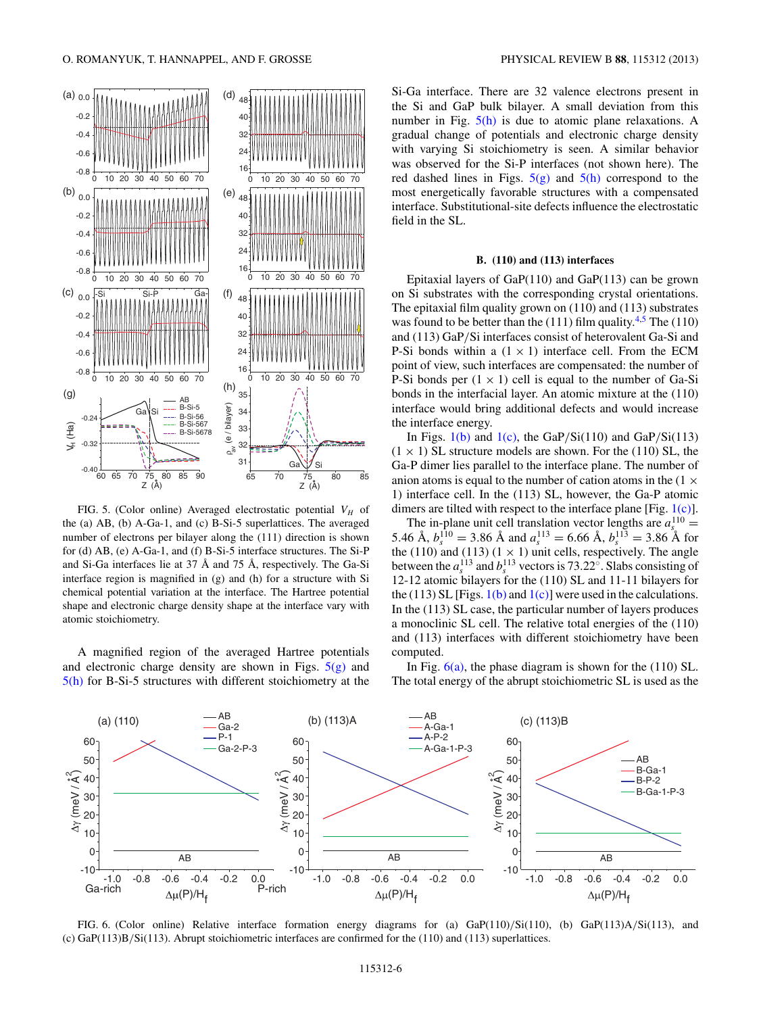<span id="page-5-0"></span>

FIG. 5. (Color online) Averaged electrostatic potential  $V_H$  of the (a) AB, (b) A-Ga-1, and (c) B-Si-5 superlattices. The averaged number of electrons per bilayer along the (111) direction is shown for (d) AB, (e) A-Ga-1, and (f) B-Si-5 interface structures. The Si-P and Si-Ga interfaces lie at 37 Å and 75 Å, respectively. The Ga-Si interface region is magnified in (g) and (h) for a structure with Si chemical potential variation at the interface. The Hartree potential shape and electronic charge density shape at the interface vary with atomic stoichiometry.

A magnified region of the averaged Hartree potentials and electronic charge density are shown in Figs.  $5(g)$  and 5(h) for B-Si-5 structures with different stoichiometry at the Si-Ga interface. There are 32 valence electrons present in the Si and GaP bulk bilayer. A small deviation from this number in Fig.  $5(h)$  is due to atomic plane relaxations. A gradual change of potentials and electronic charge density with varying Si stoichiometry is seen. A similar behavior was observed for the Si-P interfaces (not shown here). The red dashed lines in Figs.  $5(g)$  and  $5(h)$  correspond to the most energetically favorable structures with a compensated interface. Substitutional-site defects influence the electrostatic field in the SL.

## **B. (110) and (113) interfaces**

Epitaxial layers of GaP(110) and GaP(113) can be grown on Si substrates with the corresponding crystal orientations. The epitaxial film quality grown on (110) and (113) substrates was found to be better than the  $(111)$  film quality.<sup>4,5</sup> The  $(110)$ and (113) GaP*/*Si interfaces consist of heterovalent Ga-Si and P-Si bonds within a  $(1 \times 1)$  interface cell. From the ECM point of view, such interfaces are compensated: the number of P-Si bonds per  $(1 \times 1)$  cell is equal to the number of Ga-Si bonds in the interfacial layer. An atomic mixture at the (110) interface would bring additional defects and would increase the interface energy.

In Figs. [1\(b\)](#page-2-0) and [1\(c\),](#page-2-0) the GaP*/*Si(110) and GaP*/*Si(113)  $(1 \times 1)$  SL structure models are shown. For the (110) SL, the Ga-P dimer lies parallel to the interface plane. The number of anion atoms is equal to the number of cation atoms in the  $(1 \times$ 1) interface cell. In the (113) SL, however, the Ga-P atomic dimers are tilted with respect to the interface plane [Fig. [1\(c\)\]](#page-2-0).

The in-plane unit cell translation vector lengths are  $a_s^{110} =$ 5.46 Å,  $b_s^{110} = 3.86$  Å and  $a_s^{113} = 6.66$  Å,  $b_s^{113} = 3.86$  Å for the (110) and (113) (1  $\times$  1) unit cells, respectively. The angle between the  $a_s^{113}$  and  $b_s^{113}$  vectors is 73.22°. Slabs consisting of 12-12 atomic bilayers for the (110) SL and 11-11 bilayers for the (113) SL [Figs.  $1(b)$  and  $1(c)$ ] were used in the calculations. In the (113) SL case, the particular number of layers produces a monoclinic SL cell. The relative total energies of the (110) and (113) interfaces with different stoichiometry have been computed.

In Fig.  $6(a)$ , the phase diagram is shown for the (110) SL. The total energy of the abrupt stoichiometric SL is used as the



FIG. 6. (Color online) Relative interface formation energy diagrams for (a) GaP(110)*/*Si(110), (b) GaP(113)A*/*Si(113), and (c) GaP(113)B*/*Si(113). Abrupt stoichiometric interfaces are confirmed for the (110) and (113) superlattices.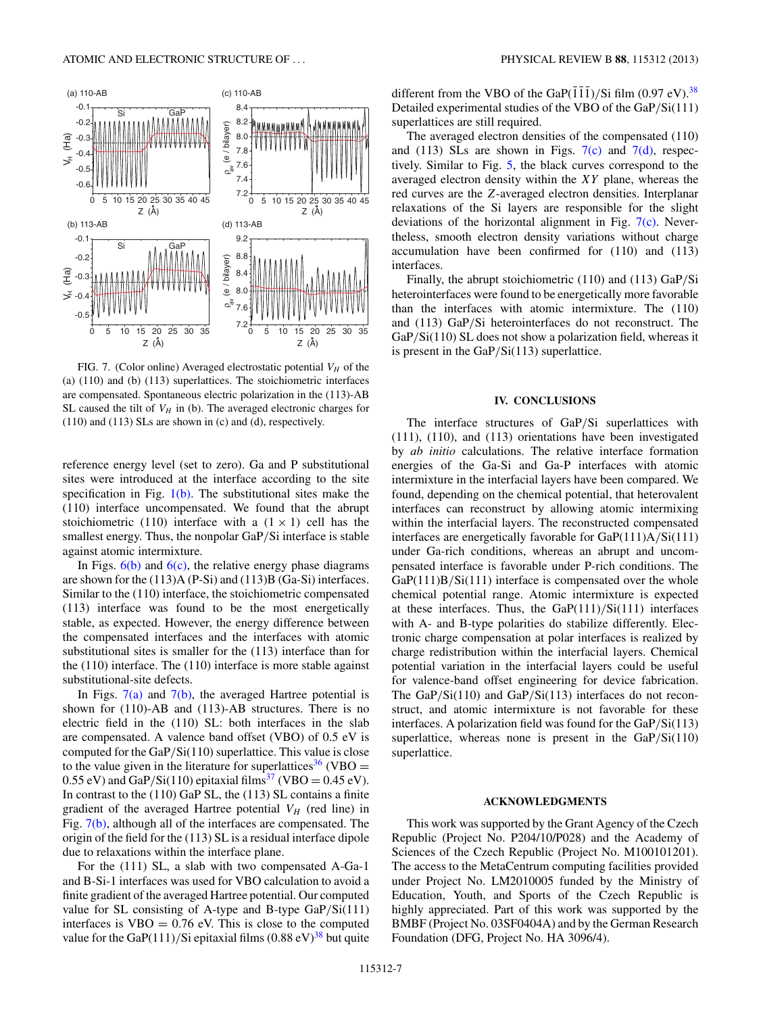

FIG. 7. (Color online) Averaged electrostatic potential  $V_H$  of the (a) (110) and (b) (113) superlattices. The stoichiometric interfaces are compensated. Spontaneous electric polarization in the (113)-AB SL caused the tilt of  $V_H$  in (b). The averaged electronic charges for (110) and (113) SLs are shown in (c) and (d), respectively.

reference energy level (set to zero). Ga and P substitutional sites were introduced at the interface according to the site specification in Fig.  $1(b)$ . The substitutional sites make the (110) interface uncompensated. We found that the abrupt stoichiometric (110) interface with a  $(1 \times 1)$  cell has the smallest energy. Thus, the nonpolar GaP*/*Si interface is stable against atomic intermixture.

In Figs.  $6(b)$  and  $6(c)$ , the relative energy phase diagrams are shown for the (113)A (P-Si) and (113)B (Ga-Si) interfaces. Similar to the (110) interface, the stoichiometric compensated (113) interface was found to be the most energetically stable, as expected. However, the energy difference between the compensated interfaces and the interfaces with atomic substitutional sites is smaller for the (113) interface than for the (110) interface. The (110) interface is more stable against substitutional-site defects.

In Figs.  $7(a)$  and  $7(b)$ , the averaged Hartree potential is shown for (110)-AB and (113)-AB structures. There is no electric field in the (110) SL: both interfaces in the slab are compensated. A valence band offset (VBO) of 0.5 eV is computed for the GaP*/*Si(110) superlattice. This value is close to the value given in the literature for superlattices<sup>[36](#page-7-0)</sup> (VBO =  $0.55 \text{ eV}$ ) and GaP/Si(110) epitaxial films<sup>[37](#page-7-0)</sup> (VBO = 0.45 eV). In contrast to the (110) GaP SL, the (113) SL contains a finite gradient of the averaged Hartree potential  $V_H$  (red line) in Fig. 7(b), although all of the interfaces are compensated. The origin of the field for the (113) SL is a residual interface dipole due to relaxations within the interface plane.

For the (111) SL, a slab with two compensated A-Ga-1 and B-Si-1 interfaces was used for VBO calculation to avoid a finite gradient of the averaged Hartree potential. Our computed value for SL consisting of A-type and B-type GaP*/*Si(111) interfaces is  $VBO = 0.76$  eV. This is close to the computed value for the GaP $(111)/$ Si epitaxial films  $(0.88 \text{ eV})^{38}$  $(0.88 \text{ eV})^{38}$  $(0.88 \text{ eV})^{38}$  but quite different from the VBO of the GaP( $\overline{111}$ )/Si film (0.97 eV).<sup>[38](#page-7-0)</sup> Detailed experimental studies of the VBO of the GaP*/*Si(111) superlattices are still required.

The averaged electron densities of the compensated (110) and (113) SLs are shown in Figs.  $7(c)$  and  $7(d)$ , respectively. Similar to Fig. [5,](#page-5-0) the black curves correspond to the averaged electron density within the *XY* plane, whereas the red curves are the *Z*-averaged electron densities. Interplanar relaxations of the Si layers are responsible for the slight deviations of the horizontal alignment in Fig.  $7(c)$ . Nevertheless, smooth electron density variations without charge accumulation have been confirmed for (110) and (113) interfaces.

Finally, the abrupt stoichiometric (110) and (113) GaP*/*Si heterointerfaces were found to be energetically more favorable than the interfaces with atomic intermixture. The (110) and (113) GaP*/*Si heterointerfaces do not reconstruct. The GaP/Si(110) SL does not show a polarization field, whereas it is present in the GaP*/*Si(113) superlattice.

## **IV. CONCLUSIONS**

The interface structures of GaP*/*Si superlattices with (111), (110), and (113) orientations have been investigated by *ab initio* calculations. The relative interface formation energies of the Ga-Si and Ga-P interfaces with atomic intermixture in the interfacial layers have been compared. We found, depending on the chemical potential, that heterovalent interfaces can reconstruct by allowing atomic intermixing within the interfacial layers. The reconstructed compensated interfaces are energetically favorable for GaP(111)A*/*Si(111) under Ga-rich conditions, whereas an abrupt and uncompensated interface is favorable under P-rich conditions. The GaP(111)B/Si(111) interface is compensated over the whole chemical potential range. Atomic intermixture is expected at these interfaces. Thus, the GaP(111)*/*Si(111) interfaces with A- and B-type polarities do stabilize differently. Electronic charge compensation at polar interfaces is realized by charge redistribution within the interfacial layers. Chemical potential variation in the interfacial layers could be useful for valence-band offset engineering for device fabrication. The GaP*/*Si(110) and GaP*/*Si(113) interfaces do not reconstruct, and atomic intermixture is not favorable for these interfaces. A polarization field was found for the GaP*/*Si(113) superlattice, whereas none is present in the GaP*/*Si(110) superlattice.

### **ACKNOWLEDGMENTS**

This work was supported by the Grant Agency of the Czech Republic (Project No. P204/10/P028) and the Academy of Sciences of the Czech Republic (Project No. M100101201). The access to the MetaCentrum computing facilities provided under Project No. LM2010005 funded by the Ministry of Education, Youth, and Sports of the Czech Republic is highly appreciated. Part of this work was supported by the BMBF (Project No. 03SF0404A) and by the German Research Foundation (DFG, Project No. HA 3096/4).